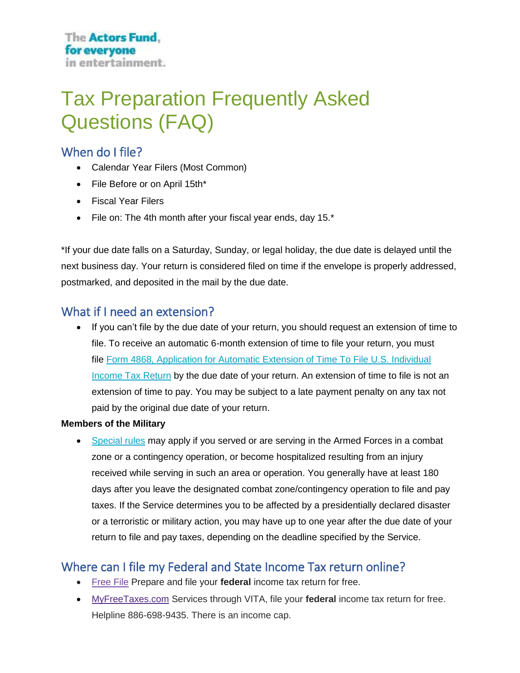# Tax Preparation Frequently Asked Questions (FAQ)

# When do I file?

- Calendar Year Filers (Most Common)
- File Before or on April 15th\*
- Fiscal Year Filers
- File on: The 4th month after your fiscal year ends, day 15.\*

\*If your due date falls on a Saturday, Sunday, or legal holiday, the due date is delayed until the next business day. Your return is considered filed on time if the envelope is properly addressed, postmarked, and deposited in the mail by the due date.

# What if I need an extension?

• If you can't file by the due date of your return, you should request an extension of time to file. To receive an automatic 6-month extension of time to file your return, you must file Form 4868, Application for Automatic Extension of Time To File U.S. Individual **[Income Tax Return](https://www.irs.gov/forms-pubs/extension-of-time-to-file-your-tax-return)** by the due date of your return. An extension of time to file is not an extension of time to pay. You may be subject to a late payment penalty on any tax not paid by the original due date of your return.

#### **Members of the Military**

• [Special rules](https://www.irs.gov/newsroom/extension-of-deadlines-combat-zone-service) may apply if you served or are serving in the Armed Forces in a combat zone or a contingency operation, or become hospitalized resulting from an injury received while serving in such an area or operation. You generally have at least 180 days after you leave the designated combat zone/contingency operation to file and pay taxes. If the Service determines you to be affected by a presidentially declared disaster or a terroristic or military action, you may have up to one year after the due date of your return to file and pay taxes, depending on the deadline specified by the Service.

# Where can I file my Federal and State Income Tax return online?

- [Free File](https://www.irs.gov/filing/free-file-do-your-federal-taxes-for-free) Prepare and file your **federal** income tax return for free.
- [MyFreeTaxes.com](http://myfreetaxes.com/) Services through VITA, file your **federal** income tax return for free. Helpline 886-698-9435. There is an income cap.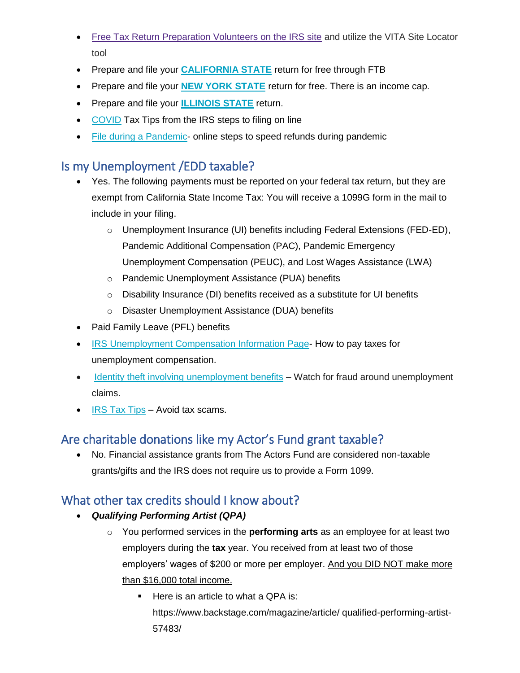- [Free Tax Return Preparation Volunteers on the IRS site](https://www.irs.gov/individuals/free-tax-return-preparation-for-you-by-volunteers) and utilize the VITA Site Locator tool
- Prepare and file your **[CALIFORNIA STATE](https://www.ftb.ca.gov/file/ways-to-file/online/calfile/index.asp)** return for free through FTB
- Prepare and file your **[NEW YORK STATE](https://www.tax.ny.gov/pit/file/default.htm)** return for free. There is an income cap.
- Prepare and file your **[ILLINOIS STATE](https://www2.illinois.gov/rev/programs/mytax/Pages/il-1040.aspx)** return.
- [COVID](https://www.irs.gov/newsroom/tips-to-help-take-the-stress-out-of-tax-season) Tax Tips from the IRS steps to filing on line
- [File during a Pandemic-](https://www.irs.gov/newsroom/2021-tax-filing-season-begins-feb-12-irs-outlines-steps-to-speed-refunds-during-pandemic) online steps to speed refunds during pandemic

# Is my Unemployment /EDD taxable?

- Yes. The following payments must be reported on your federal tax return, but they are exempt from California State Income Tax: You will receive a 1099G form in the mail to include in your filing.
	- o Unemployment Insurance (UI) benefits including Federal Extensions (FED-ED), Pandemic Additional Compensation (PAC), Pandemic Emergency Unemployment Compensation (PEUC), and Lost Wages Assistance (LWA)
	- o Pandemic Unemployment Assistance (PUA) benefits
	- o Disability Insurance (DI) benefits received as a substitute for UI benefits
	- o Disaster Unemployment Assistance (DUA) benefits
- Paid Family Leave (PFL) benefits
- IRS [Unemployment Compensation Information Page-](https://www.irs.gov/taxtopics/tc418) How to pay taxes for unemployment compensation.
- [Identity theft involving unemployment benefits](https://www.irs.gov/newsroom/people-should-be-on-the-lookout-for-identity-theft-involving-unemployment-benefits) Watch for fraud around unemployment claims.
- [IRS Tax Tips](https://www.irs.gov/newsroom/irs-tax-tips) Avoid tax scams.

# Are charitable donations like my Actor's Fund grant taxable?

• No. Financial assistance grants from The Actors Fund are considered non-taxable grants/gifts and the IRS does not require us to provide a Form 1099.

# What other tax credits should I know about?

- *Qualifying Performing Artist (QPA)*
	- o You performed services in the **performing arts** as an employee for at least two employers during the **tax** year. You received from at least two of those employers' wages of \$200 or more per employer. And you DID NOT make more than \$16,000 total income.
		- Here is an article to what a QPA is: https://www.backstage.com/magazine/article/ qualified-performing-artist-57483/